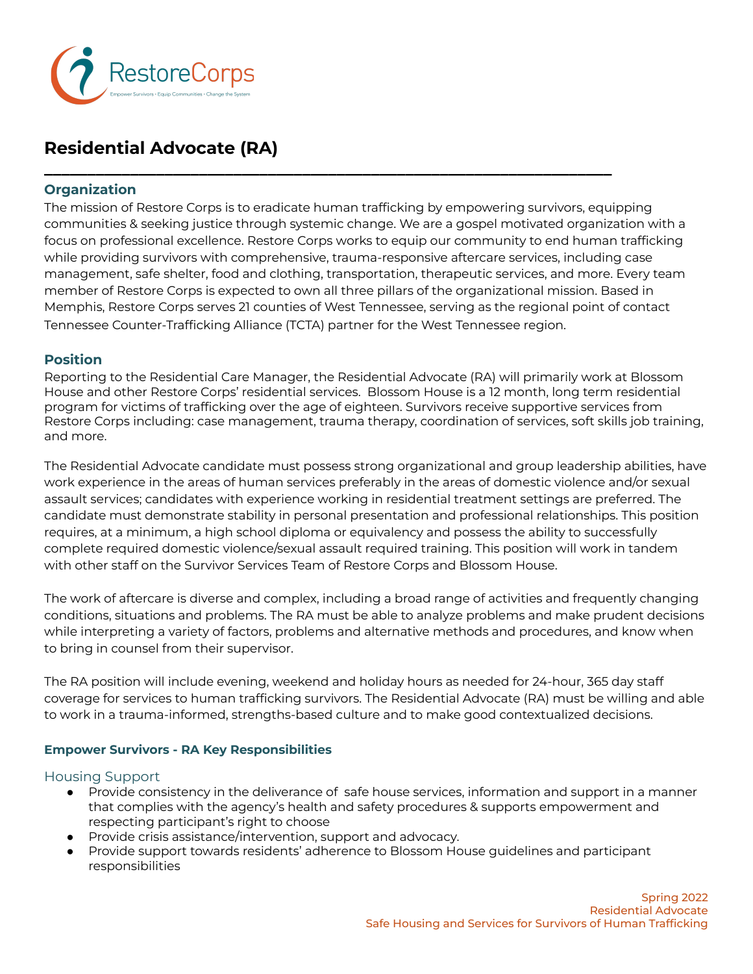

# **Residential Advocate (RA)**

# **Organization**

The mission of Restore Corps is to eradicate human trafficking by empowering survivors, equipping communities & seeking justice through systemic change. We are a gospel motivated organization with a focus on professional excellence. Restore Corps works to equip our community to end human trafficking while providing survivors with comprehensive, trauma-responsive aftercare services, including case management, safe shelter, food and clothing, transportation, therapeutic services, and more. Every team member of Restore Corps is expected to own all three pillars of the organizational mission. Based in Memphis, Restore Corps serves 21 counties of West Tennessee, serving as the regional point of contact Tennessee Counter-Trafficking Alliance (TCTA) partner for the West Tennessee region.

**\_\_\_\_\_\_\_\_\_\_\_\_\_\_\_\_\_\_\_\_\_\_\_\_\_\_\_\_\_\_\_\_\_\_\_\_\_\_\_\_\_\_\_\_\_\_\_\_\_\_\_\_\_\_\_\_\_\_\_\_\_\_\_\_\_\_**

# **Position**

Reporting to the Residential Care Manager, the Residential Advocate (RA) will primarily work at Blossom House and other Restore Corps' residential services. Blossom House is a 12 month, long term residential program for victims of trafficking over the age of eighteen. Survivors receive supportive services from Restore Corps including: case management, trauma therapy, coordination of services, soft skills job training, and more.

The Residential Advocate candidate must possess strong organizational and group leadership abilities, have work experience in the areas of human services preferably in the areas of domestic violence and/or sexual assault services; candidates with experience working in residential treatment settings are preferred. The candidate must demonstrate stability in personal presentation and professional relationships. This position requires, at a minimum, a high school diploma or equivalency and possess the ability to successfully complete required domestic violence/sexual assault required training. This position will work in tandem with other staff on the Survivor Services Team of Restore Corps and Blossom House.

The work of aftercare is diverse and complex, including a broad range of activities and frequently changing conditions, situations and problems. The RA must be able to analyze problems and make prudent decisions while interpreting a variety of factors, problems and alternative methods and procedures, and know when to bring in counsel from their supervisor.

The RA position will include evening, weekend and holiday hours as needed for 24-hour, 365 day staff coverage for services to human trafficking survivors. The Residential Advocate (RA) must be willing and able to work in a trauma-informed, strengths-based culture and to make good contextualized decisions.

# **Empower Survivors - RA Key Responsibilities**

#### Housing Support

- Provide consistency in the deliverance of safe house services, information and support in a manner that complies with the agency's health and safety procedures & supports empowerment and respecting participant's right to choose
- Provide crisis assistance/intervention, support and advocacy.
- Provide support towards residents' adherence to Blossom House guidelines and participant responsibilities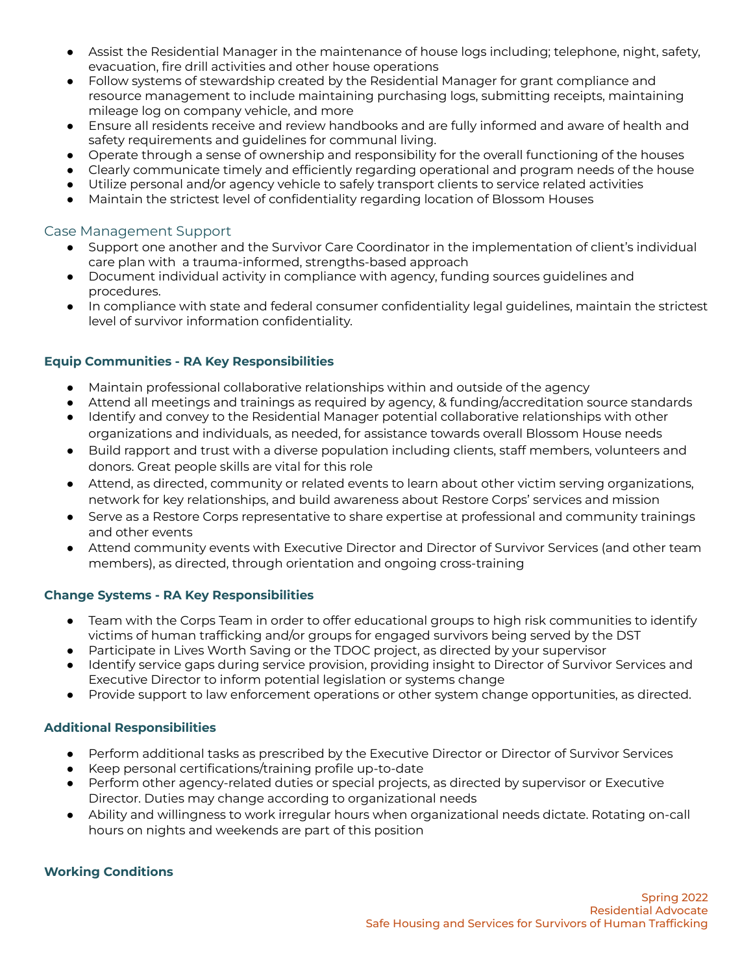- Assist the Residential Manager in the maintenance of house logs including; telephone, night, safety, evacuation, fire drill activities and other house operations
- Follow systems of stewardship created by the Residential Manager for grant compliance and resource management to include maintaining purchasing logs, submitting receipts, maintaining mileage log on company vehicle, and more
- Ensure all residents receive and review handbooks and are fully informed and aware of health and safety requirements and guidelines for communal living.
- Operate through a sense of ownership and responsibility for the overall functioning of the houses
- Clearly communicate timely and efficiently regarding operational and program needs of the house
- Utilize personal and/or agency vehicle to safely transport clients to service related activities
- Maintain the strictest level of confidentiality regarding location of Blossom Houses

### Case Management Support

- Support one another and the Survivor Care Coordinator in the implementation of client's individual care plan with a trauma-informed, strengths-based approach
- Document individual activity in compliance with agency, funding sources guidelines and procedures.
- In compliance with state and federal consumer confidentiality legal guidelines, maintain the strictest level of survivor information confidentiality.

### **Equip Communities - RA Key Responsibilities**

- Maintain professional collaborative relationships within and outside of the agency
- Attend all meetings and trainings as required by agency, & funding/accreditation source standards
- Identify and convey to the Residential Manager potential collaborative relationships with other organizations and individuals, as needed, for assistance towards overall Blossom House needs
- Build rapport and trust with a diverse population including clients, staff members, volunteers and donors. Great people skills are vital for this role
- Attend, as directed, community or related events to learn about other victim serving organizations, network for key relationships, and build awareness about Restore Corps' services and mission
- Serve as a Restore Corps representative to share expertise at professional and community trainings and other events
- Attend community events with Executive Director and Director of Survivor Services (and other team members), as directed, through orientation and ongoing cross-training

#### **Change Systems - RA Key Responsibilities**

- **●** Team with the Corps Team in order to offer educational groups to high risk communities to identify victims of human trafficking and/or groups for engaged survivors being served by the DST
- Participate in Lives Worth Saving or the TDOC project, as directed by your supervisor
- Identify service gaps during service provision, providing insight to Director of Survivor Services and Executive Director to inform potential legislation or systems change
- Provide support to law enforcement operations or other system change opportunities, as directed.

#### **Additional Responsibilities**

- Perform additional tasks as prescribed by the Executive Director or Director of Survivor Services
- Keep personal certifications/training profile up-to-date
- Perform other agency-related duties or special projects, as directed by supervisor or Executive Director. Duties may change according to organizational needs
- Ability and willingness to work irregular hours when organizational needs dictate. Rotating on-call hours on nights and weekends are part of this position

#### **Working Conditions**